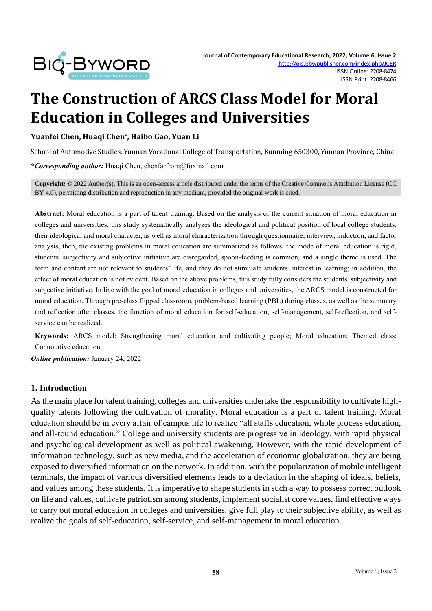

# **The Construction of ARCS Class Model for Moral Education in Colleges and Universities**

**Yuanfei Chen, Huaqi Chen\* , Haibo Gao, Yuan Li**

School of Automotive Studies, Yunnan Vocational College of Transportation, Kunming 650300, Yunnan Province, China

**\****Corresponding author:* Huaqi Chen, chenfarfrom@foxmail.com

**Copyright:** © 2022 Author(s). This is an open-access article distributed under the terms of th[e Creative Commons Attribution License \(CC](https://creativecommons.org/licenses/by/4.0/)  [BY 4.0\),](https://creativecommons.org/licenses/by/4.0/) permitting distribution and reproduction in any medium, provided the original work is cited.

**Abstract:** Moral education is a part of talent training. Based on the analysis of the current situation of moral education in colleges and universities, this study systematically analyzes the ideological and political position of local college students, their ideological and moral character, as well as moral characterization through questionnaire, interview, induction, and factor analysis; then, the existing problems in moral education are summarized as follows: the mode of moral education is rigid, students' subjectivity and subjective initiative are disregarded, spoon-feeding is common, and a single theme is used. The form and content are not relevant to students' life, and they do not stimulate students' interest in learning; in addition, the effect of moral education is not evident. Based on the above problems, this study fully considers the students' subjectivity and subjective initiative. In line with the goal of moral education in colleges and universities, the ARCS model is constructed for moral education. Through pre-class flipped classroom, problem-based learning (PBL) during classes, as well as the summary and reflection after classes, the function of moral education for self-education, self-management, self-reflection, and selfservice can be realized.

**Keywords:** ARCS model; Strengthening moral education and cultivating people; Moral education; Themed class; Connotative education

*Online publication:* January 24, 2022

#### **1. Introduction**

As the main place for talent training, colleges and universities undertake the responsibility to cultivate highquality talents following the cultivation of morality. Moral education is a part of talent training. Moral education should be in every affair of campus life to realize "all staffs education, whole process education, and all-round education." College and university students are progressive in ideology, with rapid physical and psychological development as well as political awakening. However, with the rapid development of information technology, such as new media, and the acceleration of economic globalization, they are being exposed to diversified information on the network. In addition, with the popularization of mobile intelligent terminals, the impact of various diversified elements leads to a deviation in the shaping of ideals, beliefs, and values among these students. It is imperative to shape students in such a way to possess correct outlook on life and values, cultivate patriotism among students, implement socialist core values, find effective ways to carry out moral education in colleges and universities, give full play to their subjective ability, as well as realize the goals of self-education, self-service, and self-management in moral education.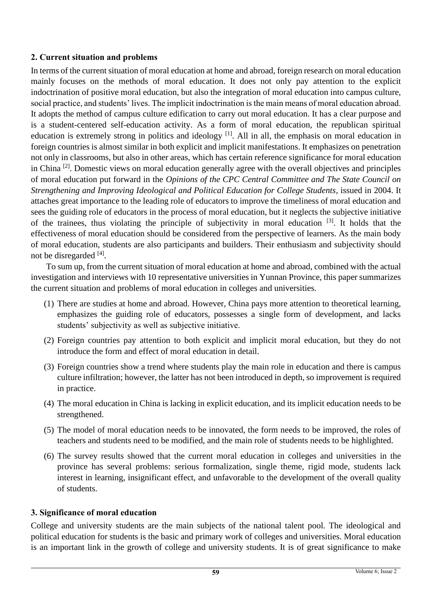#### **2. Current situation and problems**

In terms of the current situation of moral education at home and abroad, foreign research on moral education mainly focuses on the methods of moral education. It does not only pay attention to the explicit indoctrination of positive moral education, but also the integration of moral education into campus culture, social practice, and students' lives. The implicit indoctrination is the main means of moral education abroad. It adopts the method of campus culture edification to carry out moral education. It has a clear purpose and is a student-centered self-education activity. As a form of moral education, the republican spiritual education is extremely strong in politics and ideology <sup>[1]</sup>. All in all, the emphasis on moral education in foreign countries is almost similar in both explicit and implicit manifestations. It emphasizes on penetration not only in classrooms, but also in other areas, which has certain reference significance for moral education in China [2]. Domestic views on moral education generally agree with the overall objectives and principles of moral education put forward in the *Opinions of the CPC Central Committee and The State Council on Strengthening and Improving Ideological and Political Education for College Students*, issued in 2004. It attaches great importance to the leading role of educators to improve the timeliness of moral education and sees the guiding role of educators in the process of moral education, but it neglects the subjective initiative of the trainees, thus violating the principle of subjectivity in moral education [3]. It holds that the effectiveness of moral education should be considered from the perspective of learners. As the main body of moral education, students are also participants and builders. Their enthusiasm and subjectivity should not be disregarded [4].

To sum up, from the current situation of moral education at home and abroad, combined with the actual investigation and interviews with 10 representative universities in Yunnan Province, this paper summarizes the current situation and problems of moral education in colleges and universities.

- (1) There are studies at home and abroad. However, China pays more attention to theoretical learning, emphasizes the guiding role of educators, possesses a single form of development, and lacks students' subjectivity as well as subjective initiative.
- (2) Foreign countries pay attention to both explicit and implicit moral education, but they do not introduce the form and effect of moral education in detail.
- (3) Foreign countries show a trend where students play the main role in education and there is campus culture infiltration; however, the latter has not been introduced in depth, so improvement is required in practice.
- (4) The moral education in China is lacking in explicit education, and its implicit education needs to be strengthened.
- (5) The model of moral education needs to be innovated, the form needs to be improved, the roles of teachers and students need to be modified, and the main role of students needs to be highlighted.
- (6) The survey results showed that the current moral education in colleges and universities in the province has several problems: serious formalization, single theme, rigid mode, students lack interest in learning, insignificant effect, and unfavorable to the development of the overall quality of students.

## **3. Significance of moral education**

College and university students are the main subjects of the national talent pool. The ideological and political education for students is the basic and primary work of colleges and universities. Moral education is an important link in the growth of college and university students. It is of great significance to make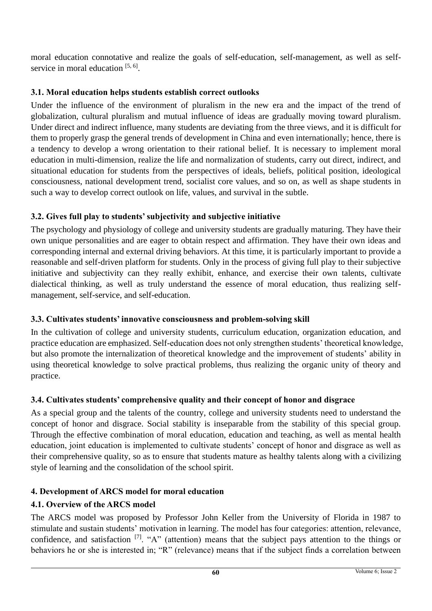moral education connotative and realize the goals of self-education, self-management, as well as selfservice in moral education [5, 6].

## **3.1. Moral education helps students establish correct outlooks**

Under the influence of the environment of pluralism in the new era and the impact of the trend of globalization, cultural pluralism and mutual influence of ideas are gradually moving toward pluralism. Under direct and indirect influence, many students are deviating from the three views, and it is difficult for them to properly grasp the general trends of development in China and even internationally; hence, there is a tendency to develop a wrong orientation to their rational belief. It is necessary to implement moral education in multi-dimension, realize the life and normalization of students, carry out direct, indirect, and situational education for students from the perspectives of ideals, beliefs, political position, ideological consciousness, national development trend, socialist core values, and so on, as well as shape students in such a way to develop correct outlook on life, values, and survival in the subtle.

# **3.2. Gives full play to students' subjectivity and subjective initiative**

The psychology and physiology of college and university students are gradually maturing. They have their own unique personalities and are eager to obtain respect and affirmation. They have their own ideas and corresponding internal and external driving behaviors. At this time, it is particularly important to provide a reasonable and self-driven platform for students. Only in the process of giving full play to their subjective initiative and subjectivity can they really exhibit, enhance, and exercise their own talents, cultivate dialectical thinking, as well as truly understand the essence of moral education, thus realizing selfmanagement, self-service, and self-education.

# **3.3. Cultivates students' innovative consciousness and problem-solving skill**

In the cultivation of college and university students, curriculum education, organization education, and practice education are emphasized. Self-education does not only strengthen students' theoretical knowledge, but also promote the internalization of theoretical knowledge and the improvement of students' ability in using theoretical knowledge to solve practical problems, thus realizing the organic unity of theory and practice.

# **3.4. Cultivates students' comprehensive quality and their concept of honor and disgrace**

As a special group and the talents of the country, college and university students need to understand the concept of honor and disgrace. Social stability is inseparable from the stability of this special group. Through the effective combination of moral education, education and teaching, as well as mental health education, joint education is implemented to cultivate students' concept of honor and disgrace as well as their comprehensive quality, so as to ensure that students mature as healthy talents along with a civilizing style of learning and the consolidation of the school spirit.

# **4. Development of ARCS model for moral education**

# **4.1. Overview of the ARCS model**

The ARCS model was proposed by Professor John Keller from the University of Florida in 1987 to stimulate and sustain students' motivation in learning. The model has four categories: attention, relevance, confidence, and satisfaction  $\begin{bmatrix} 7 \end{bmatrix}$ . "A" (attention) means that the subject pays attention to the things or behaviors he or she is interested in; "R" (relevance) means that if the subject finds a correlation between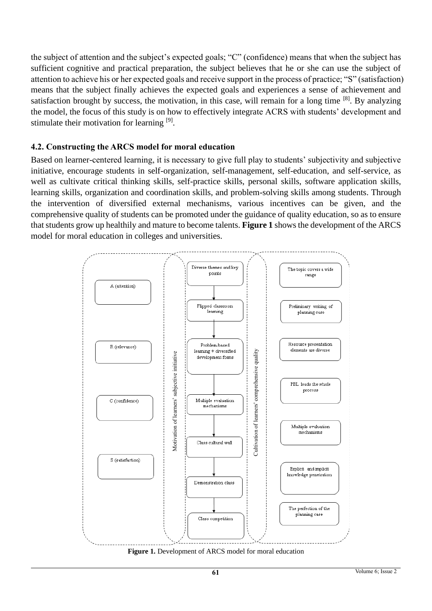the subject of attention and the subject's expected goals; "C" (confidence) means that when the subject has sufficient cognitive and practical preparation, the subject believes that he or she can use the subject of attention to achieve his or her expected goals and receive support in the process of practice; "S" (satisfaction) means that the subject finally achieves the expected goals and experiences a sense of achievement and satisfaction brought by success, the motivation, in this case, will remain for a long time [8]. By analyzing the model, the focus of this study is on how to effectively integrate ACRS with students' development and stimulate their motivation for learning [9].

#### **4.2. Constructing the ARCS model for moral education**

Based on learner-centered learning, it is necessary to give full play to students' subjectivity and subjective initiative, encourage students in self-organization, self-management, self-education, and self-service, as well as cultivate critical thinking skills, self-practice skills, personal skills, software application skills, learning skills, organization and coordination skills, and problem-solving skills among students. Through the intervention of diversified external mechanisms, various incentives can be given, and the comprehensive quality of students can be promoted under the guidance of quality education, so as to ensure that students grow up healthily and mature to become talents. **Figure 1** shows the development of the ARCS model for moral education in colleges and universities.

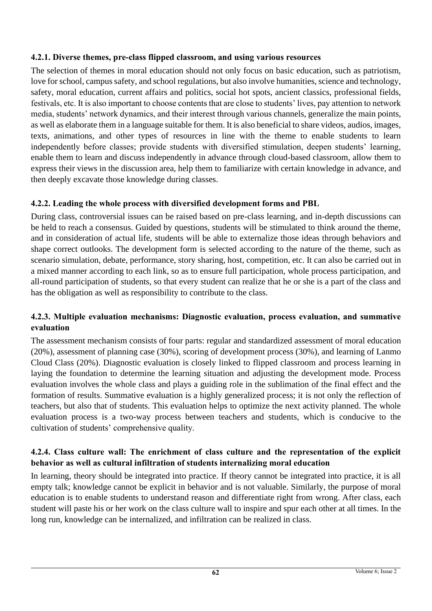## **4.2.1. Diverse themes, pre-class flipped classroom, and using various resources**

The selection of themes in moral education should not only focus on basic education, such as patriotism, love for school, campus safety, and school regulations, but also involve humanities, science and technology, safety, moral education, current affairs and politics, social hot spots, ancient classics, professional fields, festivals, etc. It is also important to choose contents that are close to students' lives, pay attention to network media, students' network dynamics, and their interest through various channels, generalize the main points, as well as elaborate them in a language suitable for them. It is also beneficial to share videos, audios, images, texts, animations, and other types of resources in line with the theme to enable students to learn independently before classes; provide students with diversified stimulation, deepen students' learning, enable them to learn and discuss independently in advance through cloud-based classroom, allow them to express their views in the discussion area, help them to familiarize with certain knowledge in advance, and then deeply excavate those knowledge during classes.

#### **4.2.2. Leading the whole process with diversified development forms and PBL**

During class, controversial issues can be raised based on pre-class learning, and in-depth discussions can be held to reach a consensus. Guided by questions, students will be stimulated to think around the theme, and in consideration of actual life, students will be able to externalize those ideas through behaviors and shape correct outlooks. The development form is selected according to the nature of the theme, such as scenario simulation, debate, performance, story sharing, host, competition, etc. It can also be carried out in a mixed manner according to each link, so as to ensure full participation, whole process participation, and all-round participation of students, so that every student can realize that he or she is a part of the class and has the obligation as well as responsibility to contribute to the class.

#### **4.2.3. Multiple evaluation mechanisms: Diagnostic evaluation, process evaluation, and summative evaluation**

The assessment mechanism consists of four parts: regular and standardized assessment of moral education (20%), assessment of planning case (30%), scoring of development process (30%), and learning of Lanmo Cloud Class (20%). Diagnostic evaluation is closely linked to flipped classroom and process learning in laying the foundation to determine the learning situation and adjusting the development mode. Process evaluation involves the whole class and plays a guiding role in the sublimation of the final effect and the formation of results. Summative evaluation is a highly generalized process; it is not only the reflection of teachers, but also that of students. This evaluation helps to optimize the next activity planned. The whole evaluation process is a two-way process between teachers and students, which is conducive to the cultivation of students' comprehensive quality.

#### **4.2.4. Class culture wall: The enrichment of class culture and the representation of the explicit behavior as well as cultural infiltration of students internalizing moral education**

In learning, theory should be integrated into practice. If theory cannot be integrated into practice, it is all empty talk; knowledge cannot be explicit in behavior and is not valuable. Similarly, the purpose of moral education is to enable students to understand reason and differentiate right from wrong. After class, each student will paste his or her work on the class culture wall to inspire and spur each other at all times. In the long run, knowledge can be internalized, and infiltration can be realized in class.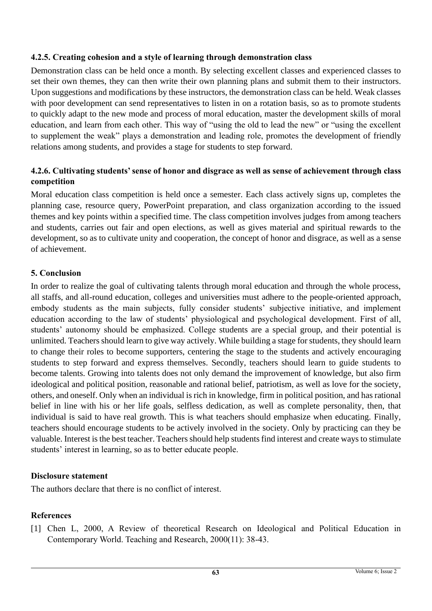#### **4.2.5. Creating cohesion and a style of learning through demonstration class**

Demonstration class can be held once a month. By selecting excellent classes and experienced classes to set their own themes, they can then write their own planning plans and submit them to their instructors. Upon suggestions and modifications by these instructors, the demonstration class can be held. Weak classes with poor development can send representatives to listen in on a rotation basis, so as to promote students to quickly adapt to the new mode and process of moral education, master the development skills of moral education, and learn from each other. This way of "using the old to lead the new" or "using the excellent to supplement the weak" plays a demonstration and leading role, promotes the development of friendly relations among students, and provides a stage for students to step forward.

#### **4.2.6. Cultivating students' sense of honor and disgrace as well as sense of achievement through class competition**

Moral education class competition is held once a semester. Each class actively signs up, completes the planning case, resource query, PowerPoint preparation, and class organization according to the issued themes and key points within a specified time. The class competition involves judges from among teachers and students, carries out fair and open elections, as well as gives material and spiritual rewards to the development, so as to cultivate unity and cooperation, the concept of honor and disgrace, as well as a sense of achievement.

#### **5. Conclusion**

In order to realize the goal of cultivating talents through moral education and through the whole process, all staffs, and all-round education, colleges and universities must adhere to the people-oriented approach, embody students as the main subjects, fully consider students' subjective initiative, and implement education according to the law of students' physiological and psychological development. First of all, students' autonomy should be emphasized. College students are a special group, and their potential is unlimited. Teachers should learn to give way actively. While building a stage for students, they should learn to change their roles to become supporters, centering the stage to the students and actively encouraging students to step forward and express themselves. Secondly, teachers should learn to guide students to become talents. Growing into talents does not only demand the improvement of knowledge, but also firm ideological and political position, reasonable and rational belief, patriotism, as well as love for the society, others, and oneself. Only when an individual is rich in knowledge, firm in political position, and has rational belief in line with his or her life goals, selfless dedication, as well as complete personality, then, that individual is said to have real growth. This is what teachers should emphasize when educating. Finally, teachers should encourage students to be actively involved in the society. Only by practicing can they be valuable. Interest is the best teacher. Teachers should help students find interest and create ways to stimulate students' interest in learning, so as to better educate people.

#### **Disclosure statement**

The authors declare that there is no conflict of interest.

## **References**

[1] Chen L, 2000, A Review of theoretical Research on Ideological and Political Education in Contemporary World. Teaching and Research, 2000(11): 38-43.